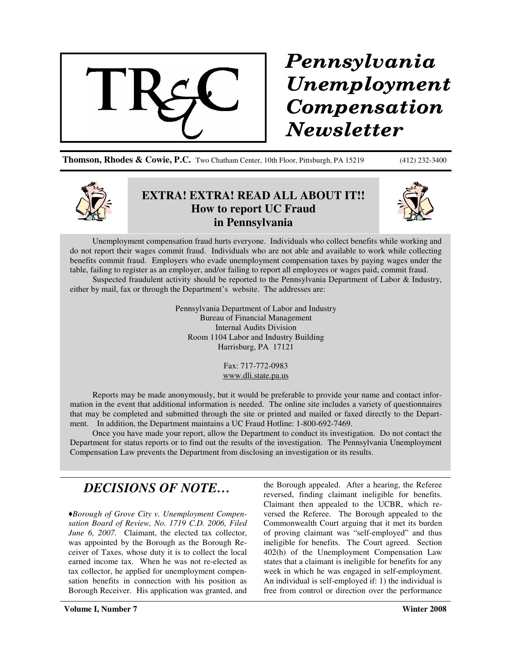

## Pennsylvania Unemployment Compensation **Newsletter**

**Thomson, Rhodes & Cowie, P.C.** Two Chatham Center, 10th Floor, Pittsburgh, PA 15219 (412) 232-3400



## **EXTRA! EXTRA! READ ALL ABOUT IT!! How to report UC Fraud in Pennsylvania**



Unemployment compensation fraud hurts everyone. Individuals who collect benefits while working and do not report their wages commit fraud. Individuals who are not able and available to work while collecting benefits commit fraud. Employers who evade unemployment compensation taxes by paying wages under the table, failing to register as an employer, and/or failing to report all employees or wages paid, commit fraud.

Suspected fraudulent activity should be reported to the Pennsylvania Department of Labor & Industry, either by mail, fax or through the Department's website. The addresses are:

> Pennsylvania Department of Labor and Industry Bureau of Financial Management Internal Audits Division Room 1104 Labor and Industry Building Harrisburg, PA 17121

> > Fax: 717-772-0983 www.dli.state.pa.us

Reports may be made anonymously, but it would be preferable to provide your name and contact information in the event that additional information is needed. The online site includes a variety of questionnaires that may be completed and submitted through the site or printed and mailed or faxed directly to the Department. In addition, the Department maintains a UC Fraud Hotline: 1-800-692-7469.

Once you have made your report, allow the Department to conduct its investigation. Do not contact the Department for status reports or to find out the results of the investigation. The Pennsylvania Unemployment Compensation Law prevents the Department from disclosing an investigation or its results.

## *DECISIONS OF NOTE…*

*Borough of Grove City v. Unemployment Compensation Board of Review, No. 1719 C.D. 2006, Filed June 6, 2007.* Claimant, the elected tax collector, was appointed by the Borough as the Borough Receiver of Taxes, whose duty it is to collect the local earned income tax. When he was not re-elected as tax collector, he applied for unemployment compensation benefits in connection with his position as Borough Receiver. His application was granted, and the Borough appealed. After a hearing, the Referee reversed, finding claimant ineligible for benefits. Claimant then appealed to the UCBR, which reversed the Referee. The Borough appealed to the Commonwealth Court arguing that it met its burden of proving claimant was "self-employed" and thus ineligible for benefits. The Court agreed. Section 402(h) of the Unemployment Compensation Law states that a claimant is ineligible for benefits for any week in which he was engaged in self-employment. An individual is self-employed if: 1) the individual is free from control or direction over the performance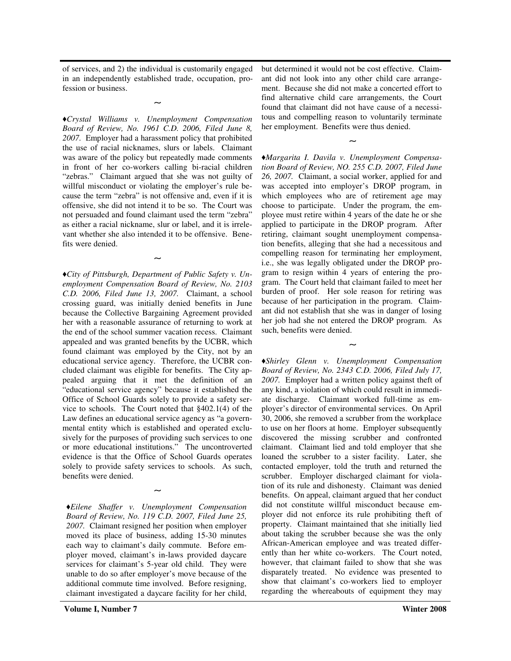of services, and 2) the individual is customarily engaged in an independently established trade, occupation, profession or business.

∼

*Crystal Williams v. Unemployment Compensation Board of Review, No. 1961 C.D. 2006, Filed June 8, 2007.* Employer had a harassment policy that prohibited the use of racial nicknames, slurs or labels. Claimant was aware of the policy but repeatedly made comments in front of her co-workers calling bi-racial children "zebras." Claimant argued that she was not guilty of willful misconduct or violating the employer's rule because the term "zebra" is not offensive and, even if it is offensive, she did not intend it to be so. The Court was not persuaded and found claimant used the term "zebra" as either a racial nickname, slur or label, and it is irrelevant whether she also intended it to be offensive. Benefits were denied.

∼

*City of Pittsburgh, Department of Public Safety v. Unemployment Compensation Board of Review, No. 2103 C.D. 2006, Filed June 13, 2007.* Claimant, a school crossing guard, was initially denied benefits in June because the Collective Bargaining Agreement provided her with a reasonable assurance of returning to work at the end of the school summer vacation recess. Claimant appealed and was granted benefits by the UCBR, which found claimant was employed by the City, not by an educational service agency. Therefore, the UCBR concluded claimant was eligible for benefits. The City appealed arguing that it met the definition of an "educational service agency" because it established the Office of School Guards solely to provide a safety service to schools. The Court noted that §402.1(4) of the Law defines an educational service agency as "a governmental entity which is established and operated exclusively for the purposes of providing such services to one or more educational institutions." The uncontroverted evidence is that the Office of School Guards operates solely to provide safety services to schools. As such, benefits were denied.

*Eilene Shaffer v. Unemployment Compensation Board of Review, No. 119 C.D. 2007, Filed June 25, 2007.* Claimant resigned her position when employer moved its place of business, adding 15-30 minutes each way to claimant's daily commute. Before employer moved, claimant's in-laws provided daycare services for claimant's 5-year old child. They were unable to do so after employer's move because of the additional commute time involved. Before resigning, claimant investigated a daycare facility for her child,

∼

but determined it would not be cost effective. Claimant did not look into any other child care arrangement. Because she did not make a concerted effort to find alternative child care arrangements, the Court found that claimant did not have cause of a necessitous and compelling reason to voluntarily terminate her employment. Benefits were thus denied.

∼

*Margarita I. Davila v. Unemployment Compensation Board of Review, NO. 255 C.D. 2007, Filed June 26, 2007.* Claimant, a social worker, applied for and was accepted into employer's DROP program, in which employees who are of retirement age may choose to participate. Under the program, the employee must retire within 4 years of the date he or she applied to participate in the DROP program. After retiring, claimant sought unemployment compensation benefits, alleging that she had a necessitous and compelling reason for terminating her employment, i.e., she was legally obligated under the DROP program to resign within 4 years of entering the program. The Court held that claimant failed to meet her burden of proof. Her sole reason for retiring was because of her participation in the program. Claimant did not establish that she was in danger of losing her job had she not entered the DROP program. As such, benefits were denied.

∼

*Shirley Glenn v. Unemployment Compensation Board of Review, No. 2343 C.D. 2006, Filed July 17, 2007.* Employer had a written policy against theft of any kind, a violation of which could result in immediate discharge. Claimant worked full-time as employer's director of environmental services. On April 30, 2006, she removed a scrubber from the workplace to use on her floors at home. Employer subsequently discovered the missing scrubber and confronted claimant. Claimant lied and told employer that she loaned the scrubber to a sister facility. Later, she contacted employer, told the truth and returned the scrubber. Employer discharged claimant for violation of its rule and dishonesty. Claimant was denied benefits. On appeal, claimant argued that her conduct did not constitute willful misconduct because employer did not enforce its rule prohibiting theft of property. Claimant maintained that she initially lied about taking the scrubber because she was the only African-American employee and was treated differently than her white co-workers. The Court noted, however, that claimant failed to show that she was disparately treated. No evidence was presented to show that claimant's co-workers lied to employer regarding the whereabouts of equipment they may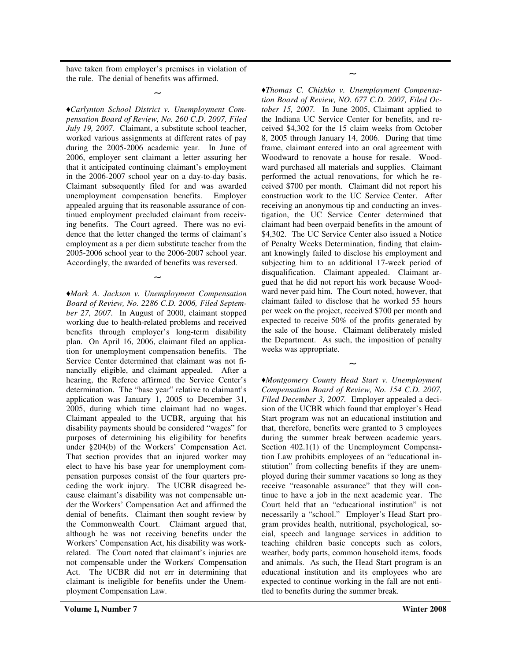have taken from employer's premises in violation of the rule. The denial of benefits was affirmed.

∼

*Carlynton School District v. Unemployment Compensation Board of Review, No. 260 C.D. 2007, Filed July 19, 2007.* Claimant, a substitute school teacher, worked various assignments at different rates of pay during the 2005-2006 academic year. In June of 2006, employer sent claimant a letter assuring her that it anticipated continuing claimant's employment in the 2006-2007 school year on a day-to-day basis. Claimant subsequently filed for and was awarded unemployment compensation benefits. Employer appealed arguing that its reasonable assurance of continued employment precluded claimant from receiving benefits. The Court agreed. There was no evidence that the letter changed the terms of claimant's employment as a per diem substitute teacher from the 2005-2006 school year to the 2006-2007 school year. Accordingly, the awarded of benefits was reversed.

∼

*Mark A. Jackson v. Unemployment Compensation Board of Review, No. 2286 C.D. 2006, Filed September 27, 2007.* In August of 2000, claimant stopped working due to health-related problems and received benefits through employer's long-term disability plan. On April 16, 2006, claimant filed an application for unemployment compensation benefits. The Service Center determined that claimant was not financially eligible, and claimant appealed. After a hearing, the Referee affirmed the Service Center's determination. The "base year" relative to claimant's application was January 1, 2005 to December 31, 2005, during which time claimant had no wages. Claimant appealed to the UCBR, arguing that his disability payments should be considered "wages" for purposes of determining his eligibility for benefits under §204(b) of the Workers' Compensation Act. That section provides that an injured worker may elect to have his base year for unemployment compensation purposes consist of the four quarters preceding the work injury. The UCBR disagreed because claimant's disability was not compensable under the Workers' Compensation Act and affirmed the denial of benefits. Claimant then sought review by the Commonwealth Court. Claimant argued that, although he was not receiving benefits under the Workers' Compensation Act, his disability was workrelated. The Court noted that claimant's injuries are not compensable under the Workers'Compensation Act. The UCBR did not err in determining that claimant is ineligible for benefits under the Unemployment Compensation Law.

*Thomas C. Chishko v. Unemployment Compensation Board of Review, NO. 677 C.D. 2007, Filed October 15, 2007.* In June 2005, Claimant applied to the Indiana UC Service Center for benefits, and received \$4,302 for the 15 claim weeks from October 8, 2005 through January 14, 2006. During that time frame, claimant entered into an oral agreement with Woodward to renovate a house for resale. Woodward purchased all materials and supplies. Claimant performed the actual renovations, for which he received \$700 per month. Claimant did not report his construction work to the UC Service Center. After receiving an anonymous tip and conducting an investigation, the UC Service Center determined that claimant had been overpaid benefits in the amount of \$4,302. The UC Service Center also issued a Notice of Penalty Weeks Determination, finding that claimant knowingly failed to disclose his employment and subjecting him to an additional 17-week period of disqualification. Claimant appealed. Claimant argued that he did not report his work because Woodward never paid him. The Court noted, however, that claimant failed to disclose that he worked 55 hours per week on the project, received \$700 per month and expected to receive 50% of the profits generated by the sale of the house. Claimant deliberately misled the Department. As such, the imposition of penalty weeks was appropriate.

∼

*Montgomery County Head Start v. Unemployment Compensation Board of Review, No. 154 C.D. 2007, Filed December 3, 2007.* Employer appealed a decision of the UCBR which found that employer's Head Start program was not an educational institution and that, therefore, benefits were granted to 3 employees during the summer break between academic years. Section 402.1(1) of the Unemployment Compensation Law prohibits employees of an "educational institution" from collecting benefits if they are unemployed during their summer vacations so long as they receive "reasonable assurance" that they will continue to have a job in the next academic year. The Court held that an "educational institution" is not necessarily a "school." Employer's Head Start program provides health, nutritional, psychological, social, speech and language services in addition to teaching children basic concepts such as colors, weather, body parts, common household items, foods and animals. As such, the Head Start program is an educational institution and its employees who are expected to continue working in the fall are not entitled to benefits during the summer break.

∼